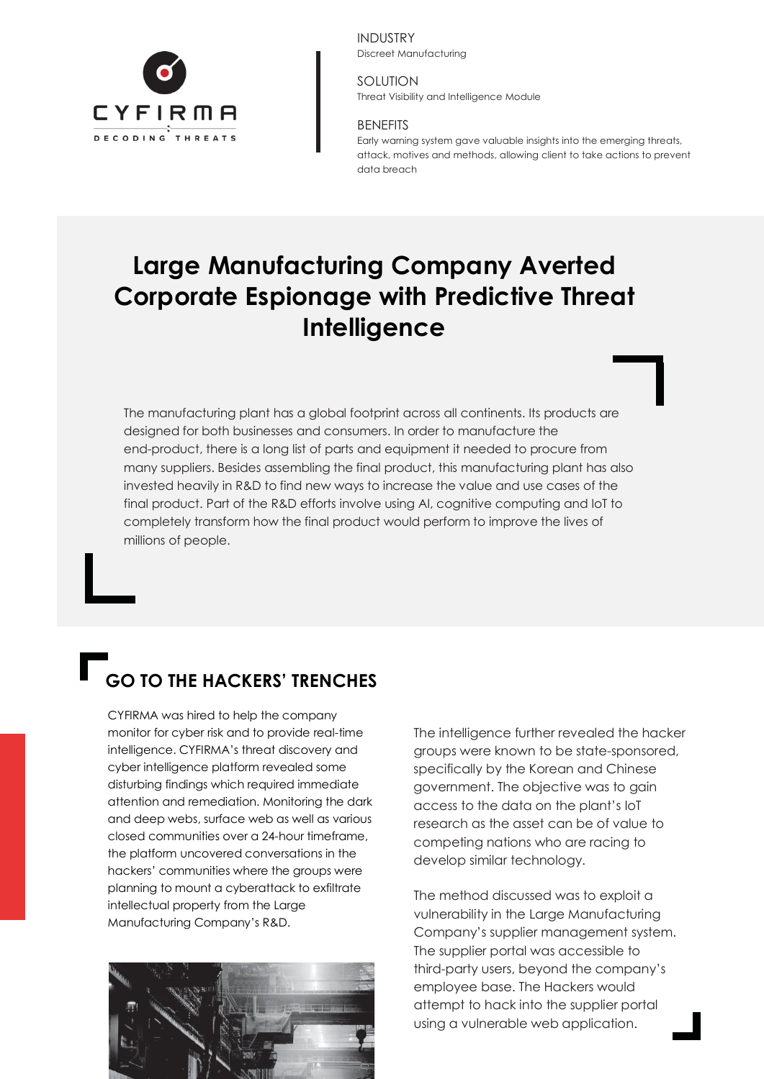

INDUSTRY Discreet Manufacturing

SOLUTION Threat Visibility and Intelligence Module

#### BENEFITS

Early warning system gave valuable insights into the emerging threats, attack, motives and methods, allowing client to take actions to prevent data breach

# **Large Manufacturing Company Averted Corporate Espionage with Predictive Threat Intelligence**

The manufacturing plant has a global footprint across all continents. Its products are designed for both businesses and consumers. In order to manufacture the end-product, there is a long list of parts and equipment it needed to procure from many suppliers. Besides assembling the final product, this manufacturing plant has also invested heavily in R&D to find new ways to increase the value and use cases of the final product. Part of the R&D efforts involve using AI, cognitive computing and IoT to completely transform how the final product would perform to improve the lives of millions of people.

## **GO TO THE HACKERS' TRENCHES**

CYFIRMA was hired to help the company monitor for cyber risk and to provide real-time intelligence. CYFIRMA's threat discovery and cyber intelligence platform revealed some disturbing findings which required immediate attention and remediation. Monitoring the dark and deep webs, surface web as well as various closed communities over a 24-hour timeframe, the platform uncovered conversations in the hackers' communities where the groups were planning to mount a cyberattack to exfiltrate intellectual property from the Large Manufacturing Company's R&D.



The intelligence further revealed the hacker groups were known to be state-sponsored, specifically by the Korean and Chinese government. The objective was to gain access to the data on the plant's IoT research as the asset can be of value to competing nations who are racing to develop similar technology.

The method discussed was to exploit a vulnerability in the Large Manufacturing Company's supplier management system. The supplier portal was accessible to third-party users, beyond the company's employee base. The Hackers would attempt to hack into the supplier portal using a vulnerable web application.